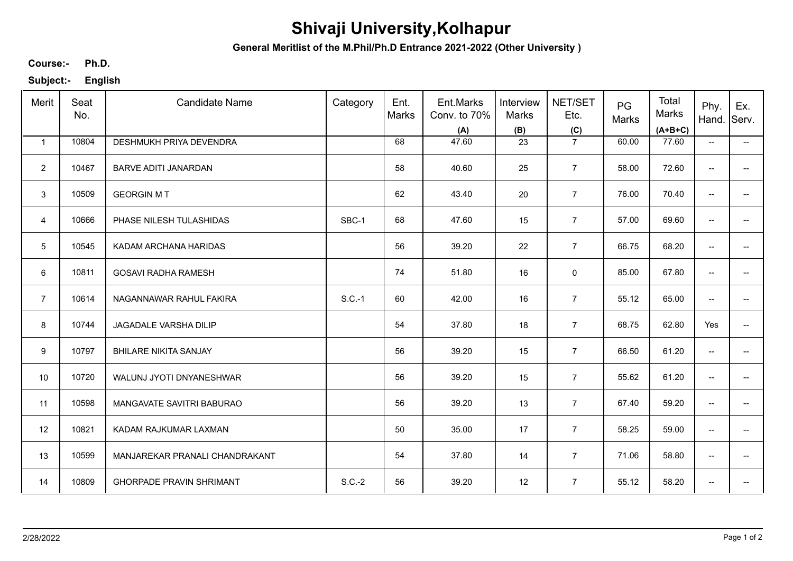## **Shivaji University,Kolhapur**

**General Meritlist of the M.Phil/Ph.D Entrance 2021-2022 (Other University )**

**Ph.D. Course:-**

**Subject:- English**

| Merit                   | Seat<br>No. | <b>Candidate Name</b>           | Category | Ent.<br>Marks | Ent.Marks<br>Conv. to 70%<br>(A) | Interview<br>Marks<br>(B) | NET/SET<br>Etc.<br>(C) | PG<br>Marks | Total<br>Marks<br>$(A+B+C)$ | Phy.<br>Hand.            | Ex.<br>Serv.             |
|-------------------------|-------------|---------------------------------|----------|---------------|----------------------------------|---------------------------|------------------------|-------------|-----------------------------|--------------------------|--------------------------|
| $\mathbf{1}$            | 10804       | DESHMUKH PRIYA DEVENDRA         |          | 68            | 47.60                            | 23                        | $\overline{7}$         | 60.00       | 77.60                       | $\overline{\phantom{a}}$ | $\overline{\phantom{a}}$ |
| $\overline{2}$          | 10467       | BARVE ADITI JANARDAN            |          | 58            | 40.60                            | 25                        | $\overline{7}$         | 58.00       | 72.60                       | $\overline{\phantom{a}}$ | $\overline{\phantom{a}}$ |
| 3                       | 10509       | <b>GEORGIN MT</b>               |          | 62            | 43.40                            | 20                        | $\overline{7}$         | 76.00       | 70.40                       | $\overline{\phantom{a}}$ | $\overline{\phantom{a}}$ |
| $\overline{\mathbf{4}}$ | 10666       | PHASE NILESH TULASHIDAS         | SBC-1    | 68            | 47.60                            | 15                        | $\overline{7}$         | 57.00       | 69.60                       | $\overline{\phantom{a}}$ | $\overline{\phantom{a}}$ |
| $5\phantom{.0}$         | 10545       | KADAM ARCHANA HARIDAS           |          | 56            | 39.20                            | 22                        | $\overline{7}$         | 66.75       | 68.20                       | $\overline{\phantom{a}}$ | $\overline{\phantom{a}}$ |
| 6                       | 10811       | <b>GOSAVI RADHA RAMESH</b>      |          | 74            | 51.80                            | 16                        | $\mathbf 0$            | 85.00       | 67.80                       | $\overline{\phantom{a}}$ | $- -$                    |
| $\overline{7}$          | 10614       | NAGANNAWAR RAHUL FAKIRA         | $S.C.-1$ | 60            | 42.00                            | 16                        | $\overline{7}$         | 55.12       | 65.00                       | $\overline{\phantom{a}}$ | $--$                     |
| 8                       | 10744       | JAGADALE VARSHA DILIP           |          | 54            | 37.80                            | 18                        | $\overline{7}$         | 68.75       | 62.80                       | Yes                      | $\overline{\phantom{a}}$ |
| $\boldsymbol{9}$        | 10797       | <b>BHILARE NIKITA SANJAY</b>    |          | 56            | 39.20                            | 15                        | $\overline{7}$         | 66.50       | 61.20                       | $\overline{\phantom{a}}$ | $\overline{\phantom{a}}$ |
| 10                      | 10720       | WALUNJ JYOTI DNYANESHWAR        |          | 56            | 39.20                            | 15                        | $\overline{7}$         | 55.62       | 61.20                       | $\overline{\phantom{a}}$ |                          |
| 11                      | 10598       | MANGAVATE SAVITRI BABURAO       |          | 56            | 39.20                            | 13                        | $\overline{7}$         | 67.40       | 59.20                       | $\overline{\phantom{a}}$ | $\overline{\phantom{a}}$ |
| 12                      | 10821       | KADAM RAJKUMAR LAXMAN           |          | 50            | 35.00                            | 17                        | $\overline{7}$         | 58.25       | 59.00                       | $\overline{\phantom{a}}$ | $- -$                    |
| 13                      | 10599       | MANJAREKAR PRANALI CHANDRAKANT  |          | 54            | 37.80                            | 14                        | $\overline{7}$         | 71.06       | 58.80                       | $\overline{\phantom{a}}$ | $\overline{\phantom{a}}$ |
| 14                      | 10809       | <b>GHORPADE PRAVIN SHRIMANT</b> | $S.C.-2$ | 56            | 39.20                            | 12                        | $\overline{7}$         | 55.12       | 58.20                       | $\overline{\phantom{a}}$ | $\overline{\phantom{a}}$ |